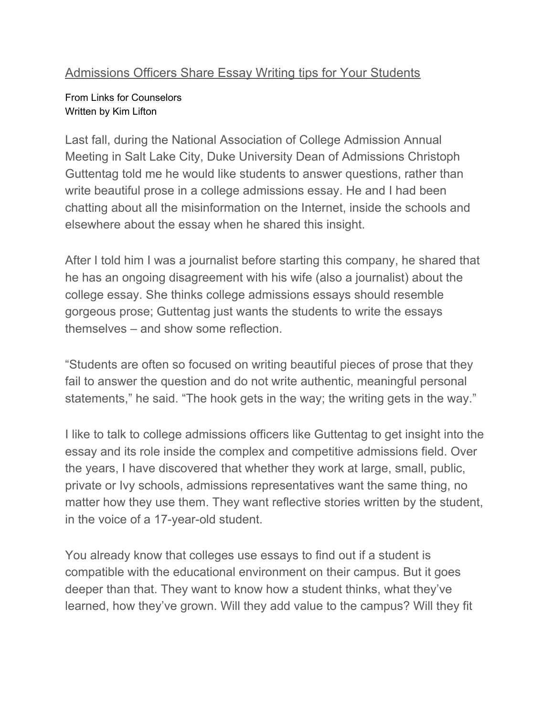#### [Admissions](https://www.linkforcounselors.com/admissions-officers-share-essay-writing-tips-for-your-students/) Officers Share Essay Writing tips for Your Students

#### From Links for Counselors Written by Kim Lifton

Last fall, during the National Association of College Admission Annual Meeting in Salt Lake City, Duke University Dean of Admissions Christoph Guttentag told me he would like students to answer questions, rather than write beautiful prose in a college admissions essay. He and I had been chatting about all the misinformation on the Internet, inside the schools and elsewhere about the essay when he shared this insight.

After I told him I was a journalist before starting this company, he shared that he has an ongoing disagreement with his wife (also a journalist) about the college essay. She thinks college admissions essays should resemble gorgeous prose; Guttentag just wants the students to write the essays themselves – and show some reflection.

"Students are often so focused on writing beautiful pieces of prose that they fail to answer the question and do not write authentic, meaningful personal statements," he said. "The hook gets in the way; the writing gets in the way."

I like to talk to college admissions officers like Guttentag to get insight into the essay and its role inside the complex and competitive admissions field. Over the years, I have discovered that whether they work at large, small, public, private or Ivy schools, admissions representatives want the same thing, no matter how they use them. They want reflective stories written by the student, in the voice of a 17-year-old student.

You already know that colleges use essays to find out if a student is compatible with the educational environment on their campus. But it goes deeper than that. They want to know how a student thinks, what they've learned, how they've grown. Will they add value to the campus? Will they fit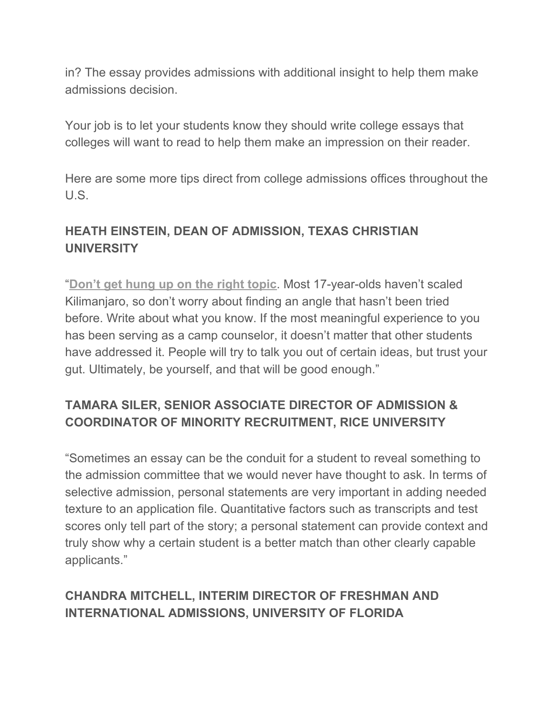in? The essay provides admissions with additional insight to help them make admissions decision.

Your job is to let your students know they should write college essays that colleges will want to read to help them make an impression on their reader.

Here are some more tips direct from college admissions offices throughout the U.S.

### **HEATH EINSTEIN, DEAN OF ADMISSION, TEXAS CHRISTIAN UNIVERSITY**

"**[Don't get hung up on the right topic](https://wowwritingworkshop.com/college-essay-writing/)**. Most 17-year-olds haven't scaled Kilimanjaro, so don't worry about finding an angle that hasn't been tried before. Write about what you know. If the most meaningful experience to you has been serving as a camp counselor, it doesn't matter that other students have addressed it. People will try to talk you out of certain ideas, but trust your gut. Ultimately, be yourself, and that will be good enough."

# **TAMARA SILER, SENIOR ASSOCIATE DIRECTOR OF ADMISSION & COORDINATOR OF MINORITY RECRUITMENT, RICE UNIVERSITY**

"Sometimes an essay can be the conduit for a student to reveal something to the admission committee that we would never have thought to ask. In terms of selective admission, personal statements are very important in adding needed texture to an application file. Quantitative factors such as transcripts and test scores only tell part of the story; a personal statement can provide context and truly show why a certain student is a better match than other clearly capable applicants."

#### **CHANDRA MITCHELL, INTERIM DIRECTOR OF FRESHMAN AND INTERNATIONAL ADMISSIONS, UNIVERSITY OF FLORIDA**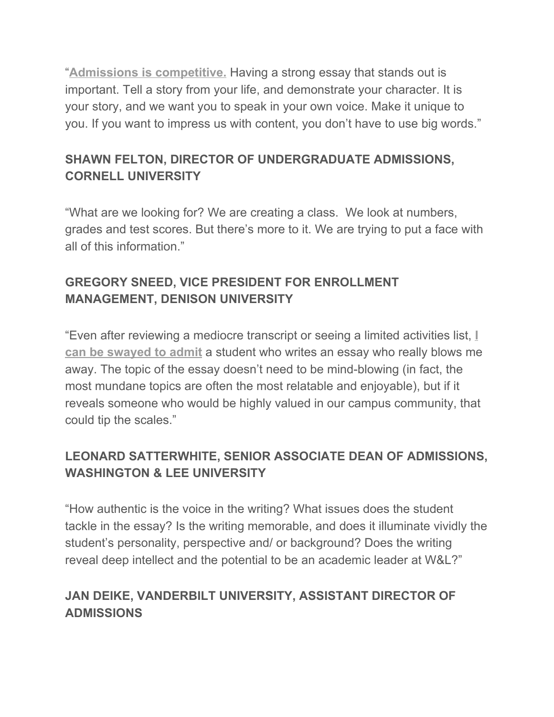"**[Admissions is competitive.](https://wowwritingworkshop.com/college-essay-writing/)** Having a strong essay that stands out is important. Tell a story from your life, and demonstrate your character. It is your story, and we want you to speak in your own voice. Make it unique to you. If you want to impress us with content, you don't have to use big words."

# **SHAWN FELTON, DIRECTOR OF UNDERGRADUATE ADMISSIONS, CORNELL UNIVERSITY**

"What are we looking for? We are creating a class. We look at numbers, grades and test scores. But there's more to it. We are trying to put a face with all of this information."

# **GREGORY SNEED, VICE PRESIDENT FOR ENROLLMENT MANAGEMENT, DENISON UNIVERSITY**

"Even after reviewing a mediocre transcript or seeing a limited activities list, **[I](https://wowwritingworkshop.com/college-essay-writing/) [can be swayed to admit](https://wowwritingworkshop.com/college-essay-writing/)** a student who writes an essay who really blows me away. The topic of the essay doesn't need to be mind-blowing (in fact, the most mundane topics are often the most relatable and enjoyable), but if it reveals someone who would be highly valued in our campus community, that could tip the scales."

# **LEONARD SATTERWHITE, SENIOR ASSOCIATE DEAN OF ADMISSIONS, WASHINGTON & LEE UNIVERSITY**

"How authentic is the voice in the writing? What issues does the student tackle in the essay? Is the writing memorable, and does it illuminate vividly the student's personality, perspective and/ or background? Does the writing reveal deep intellect and the potential to be an academic leader at W&L?"

#### **JAN DEIKE, VANDERBILT UNIVERSITY, ASSISTANT DIRECTOR OF ADMISSIONS**